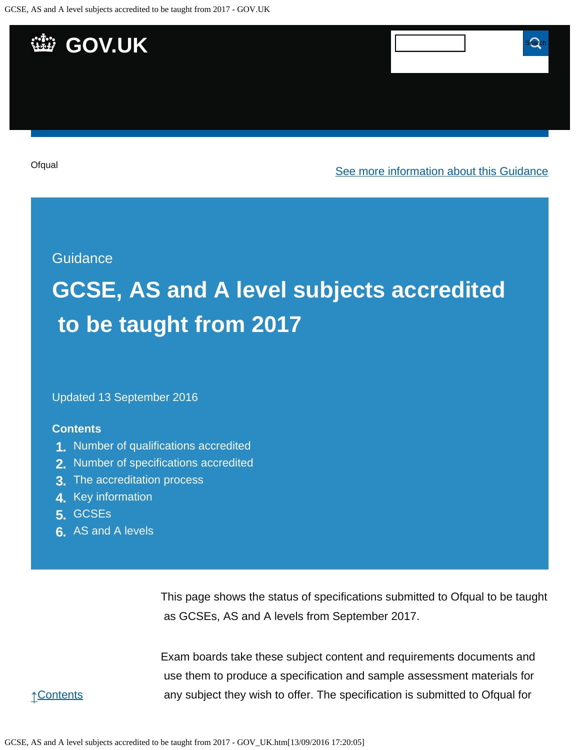

#### **Guidance**

# **GCSE, AS and A level subjects accredited to be taught from 2017**

Updated 13 September 2016

#### **Contents**

- **1.** [Number of qualifications accredited](https://www.gov.uk/government/publications/accreditation-of-gcses-as-a-levels-for-teaching-from-2017/gcse-as-and-a-level-subjects-accredited-to-be-taught-from-2017#number-of-qualifications-accredited)
- **2.** [Number of specifications accredited](https://www.gov.uk/government/publications/accreditation-of-gcses-as-a-levels-for-teaching-from-2017/gcse-as-and-a-level-subjects-accredited-to-be-taught-from-2017#number-of-specifications-accredited)
- **3.** [The accreditation process](https://www.gov.uk/government/publications/accreditation-of-gcses-as-a-levels-for-teaching-from-2017/gcse-as-and-a-level-subjects-accredited-to-be-taught-from-2017#the-accreditation-process)
- **4.** [Key information](https://www.gov.uk/government/publications/accreditation-of-gcses-as-a-levels-for-teaching-from-2017/gcse-as-and-a-level-subjects-accredited-to-be-taught-from-2017#key-information)
- **5.** [GCSEs](https://www.gov.uk/government/publications/accreditation-of-gcses-as-a-levels-for-teaching-from-2017/gcse-as-and-a-level-subjects-accredited-to-be-taught-from-2017#gcses)
- **6.** [AS and A levels](https://www.gov.uk/government/publications/accreditation-of-gcses-as-a-levels-for-teaching-from-2017/gcse-as-and-a-level-subjects-accredited-to-be-taught-from-2017#as-and-a-levels)

This page shows the status of specifications submitted to Ofqual to be taught as GCSEs, AS and A levels from September 2017.

Exam boards take these subject content and requirements documents and use them to produce a specification and sample assessment materials for any subject they wish to offer. The specification is submitted to Ofqual for

↑[Contents](https://www.gov.uk/government/publications/accreditation-of-gcses-as-a-levels-for-teaching-from-2017/gcse-as-and-a-level-subjects-accredited-to-be-taught-from-2017#contents)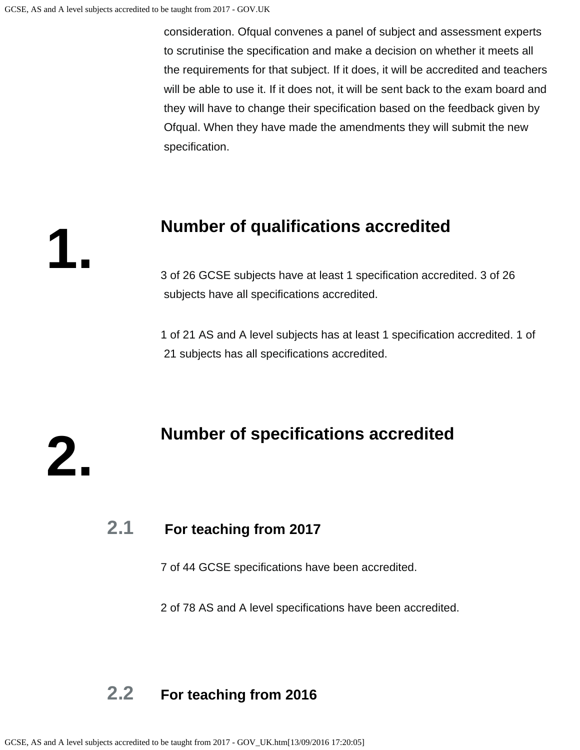**1.**

**2.**

 consideration. Ofqual convenes a panel of subject and assessment experts to scrutinise the specification and make a decision on whether it meets all the requirements for that subject. If it does, it will be accredited and teachers will be able to use it. If it does not, it will be sent back to the exam board and they will have to change their specification based on the feedback given by Ofqual. When they have made the amendments they will submit the new specification.

### **Number of qualifications accredited**

3 of 26 GCSE subjects have at least 1 specification accredited. 3 of 26 subjects have all specifications accredited.

1 of 21 AS and A level subjects has at least 1 specification accredited. 1 of 21 subjects has all specifications accredited.

### **Number of specifications accredited**

### **2.1 For teaching from 2017**

7 of 44 GCSE specifications have been accredited.

2 of 78 AS and A level specifications have been accredited.

### **2.2 For teaching from 2016**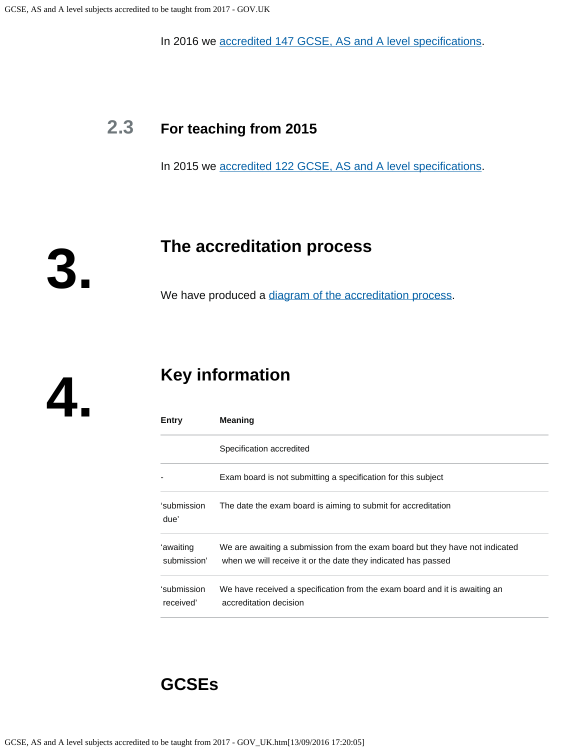In 2016 we [accredited 147 GCSE, AS and A level specifications](https://www.gov.uk/government/publications/accreditation-of-gcses-as-a-levels-for-teaching-from-2016).

# **2.3 For teaching from 2015**

In 2015 we [accredited 122 GCSE, AS and A level specifications](https://www.gov.uk/government/publications/new-gcses-as-and-a-levels-accredited-to-be-taught-from-2015).

**The accreditation process**

We have produced a [diagram of the accreditation process](https://www.gov.uk/government/publications/your-qualification-our-regulation-gcse-as-and-a-level-reforms#attachment_1634078).

**4.**

**3.**

# **Key information**

| Entry                    | <b>Meaning</b>                                                                                                                                |
|--------------------------|-----------------------------------------------------------------------------------------------------------------------------------------------|
|                          | Specification accredited                                                                                                                      |
|                          | Exam board is not submitting a specification for this subject                                                                                 |
| 'submission<br>due'      | The date the exam board is aiming to submit for accreditation                                                                                 |
| 'awaiting<br>submission' | We are awaiting a submission from the exam board but they have not indicated<br>when we will receive it or the date they indicated has passed |
| 'submission<br>received' | We have received a specification from the exam board and it is awaiting an<br>accreditation decision                                          |

## **GCSEs**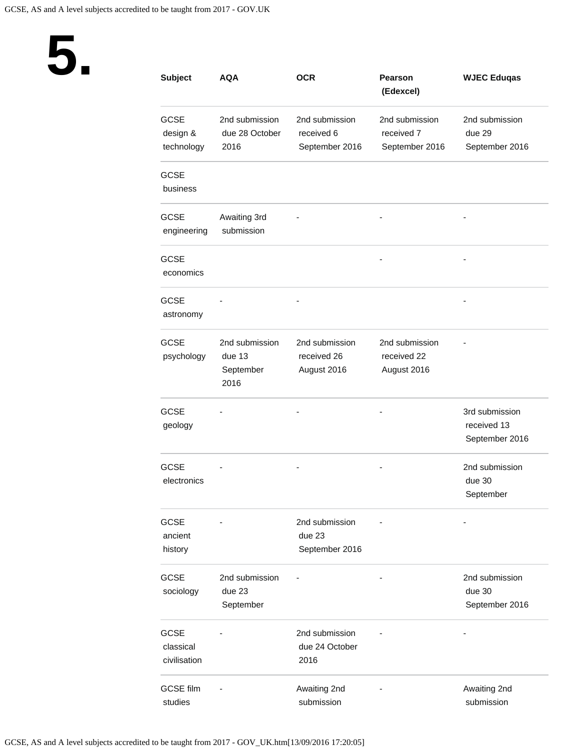

| <b>Subject</b>                           | AQA                                           | <b>OCR</b>                                     | <b>Pearson</b><br>(Edexcel)                    | <b>WJEC Eduqas</b>                              |
|------------------------------------------|-----------------------------------------------|------------------------------------------------|------------------------------------------------|-------------------------------------------------|
| <b>GCSE</b><br>design &<br>technology    | 2nd submission<br>due 28 October<br>2016      | 2nd submission<br>received 6<br>September 2016 | 2nd submission<br>received 7<br>September 2016 | 2nd submission<br>due 29<br>September 2016      |
| <b>GCSE</b><br>business                  |                                               |                                                |                                                |                                                 |
| <b>GCSE</b><br>engineering               | Awaiting 3rd<br>submission                    |                                                |                                                |                                                 |
| <b>GCSE</b><br>economics                 |                                               |                                                |                                                |                                                 |
| <b>GCSE</b><br>astronomy                 |                                               |                                                |                                                |                                                 |
| <b>GCSE</b><br>psychology                | 2nd submission<br>due 13<br>September<br>2016 | 2nd submission<br>received 26<br>August 2016   | 2nd submission<br>received 22<br>August 2016   |                                                 |
| <b>GCSE</b><br>geology                   |                                               |                                                |                                                | 3rd submission<br>received 13<br>September 2016 |
| <b>GCSE</b><br>electronics               |                                               |                                                |                                                | 2nd submission<br>due 30<br>September           |
| <b>GCSE</b><br>ancient<br>history        |                                               | 2nd submission<br>due 23<br>September 2016     |                                                |                                                 |
| <b>GCSE</b><br>sociology                 | 2nd submission<br>due 23<br>September         |                                                |                                                | 2nd submission<br>due 30<br>September 2016      |
| <b>GCSE</b><br>classical<br>civilisation |                                               | 2nd submission<br>due 24 October<br>2016       |                                                |                                                 |
| <b>GCSE film</b><br>studies              |                                               | Awaiting 2nd<br>submission                     |                                                | Awaiting 2nd<br>submission                      |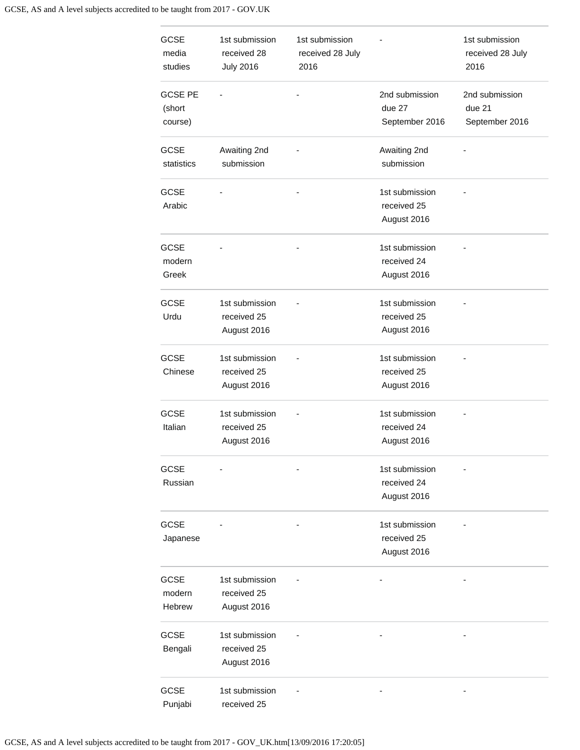#### GCSE, AS and A level subjects accredited to be taught from 2017 - GOV.UK

| <b>GCSE</b><br>media<br>studies     | 1st submission<br>received 28<br><b>July 2016</b> | 1st submission<br>received 28 July<br>2016 |                                              | 1st submission<br>received 28 July<br>2016 |
|-------------------------------------|---------------------------------------------------|--------------------------------------------|----------------------------------------------|--------------------------------------------|
| <b>GCSE PE</b><br>(short<br>course) |                                                   |                                            | 2nd submission<br>due 27<br>September 2016   | 2nd submission<br>due 21<br>September 2016 |
| <b>GCSE</b><br>statistics           | Awaiting 2nd<br>submission                        |                                            | Awaiting 2nd<br>submission                   |                                            |
| <b>GCSE</b><br>Arabic               |                                                   |                                            | 1st submission<br>received 25<br>August 2016 |                                            |
| <b>GCSE</b><br>modern<br>Greek      |                                                   |                                            | 1st submission<br>received 24<br>August 2016 |                                            |
| <b>GCSE</b><br>Urdu                 | 1st submission<br>received 25<br>August 2016      |                                            | 1st submission<br>received 25<br>August 2016 |                                            |
| <b>GCSE</b><br>Chinese              | 1st submission<br>received 25<br>August 2016      |                                            | 1st submission<br>received 25<br>August 2016 |                                            |
| <b>GCSE</b><br>Italian              | 1st submission<br>received 25<br>August 2016      |                                            | 1st submission<br>received 24<br>August 2016 |                                            |
| <b>GCSE</b><br>Russian              |                                                   |                                            | 1st submission<br>received 24<br>August 2016 |                                            |
| <b>GCSE</b><br>Japanese             |                                                   |                                            | 1st submission<br>received 25<br>August 2016 |                                            |
| <b>GCSE</b><br>modern<br>Hebrew     | 1st submission<br>received 25<br>August 2016      |                                            |                                              |                                            |
| <b>GCSE</b><br>Bengali              | 1st submission<br>received 25<br>August 2016      |                                            |                                              |                                            |
| <b>GCSE</b><br>Punjabi              | 1st submission<br>received 25                     |                                            |                                              |                                            |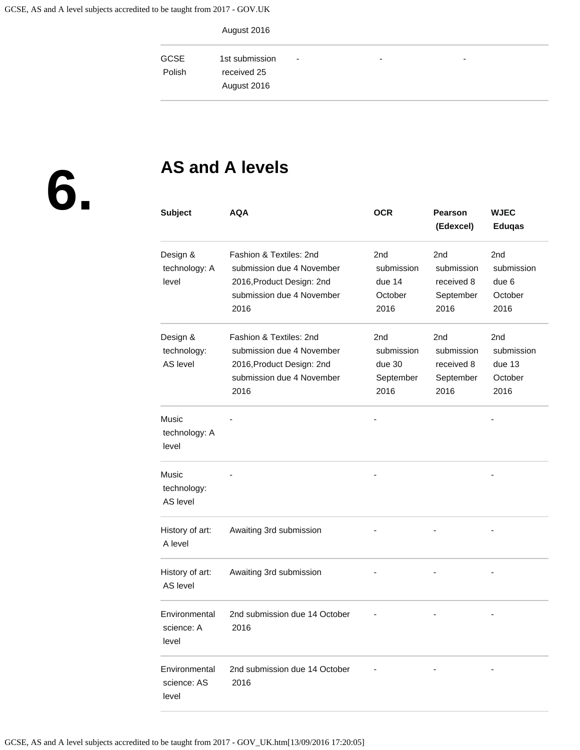August 2016

| <b>GCSE</b><br>Polish | 1st submission<br>received 25<br>August 2016 | $\overline{\phantom{a}}$ | $\overline{\phantom{0}}$ | - |  |
|-----------------------|----------------------------------------------|--------------------------|--------------------------|---|--|
|                       |                                              |                          |                          |   |  |

**6.**

# **AS and A levels**

| <b>Subject</b>                          | <b>AQA</b>                                                                                                             | <b>OCR</b>                                       | <b>Pearson</b><br>(Edexcel)                                      | <b>WJEC</b><br><b>Eduqas</b>                   |
|-----------------------------------------|------------------------------------------------------------------------------------------------------------------------|--------------------------------------------------|------------------------------------------------------------------|------------------------------------------------|
| Design &<br>technology: A<br>level      | Fashion & Textiles: 2nd<br>submission due 4 November<br>2016, Product Design: 2nd<br>submission due 4 November<br>2016 | 2nd<br>submission<br>due 14<br>October<br>2016   | 2nd<br>submission<br>received 8<br>September<br>2016             | 2nd<br>submission<br>due 6<br>October<br>2016  |
| Design &<br>technology:<br>AS level     | Fashion & Textiles: 2nd<br>submission due 4 November<br>2016, Product Design: 2nd<br>submission due 4 November<br>2016 | 2nd<br>submission<br>due 30<br>September<br>2016 | 2 <sub>nd</sub><br>submission<br>received 8<br>September<br>2016 | 2nd<br>submission<br>due 13<br>October<br>2016 |
| Music<br>technology: A<br>level         |                                                                                                                        |                                                  |                                                                  |                                                |
| <b>Music</b><br>technology:<br>AS level |                                                                                                                        |                                                  |                                                                  |                                                |
| History of art:<br>A level              | Awaiting 3rd submission                                                                                                |                                                  |                                                                  |                                                |
| History of art:<br>AS level             | Awaiting 3rd submission                                                                                                |                                                  |                                                                  |                                                |
| Environmental<br>science: A<br>level    | 2nd submission due 14 October<br>2016                                                                                  |                                                  |                                                                  |                                                |
| Environmental<br>science: AS<br>level   | 2nd submission due 14 October<br>2016                                                                                  |                                                  |                                                                  |                                                |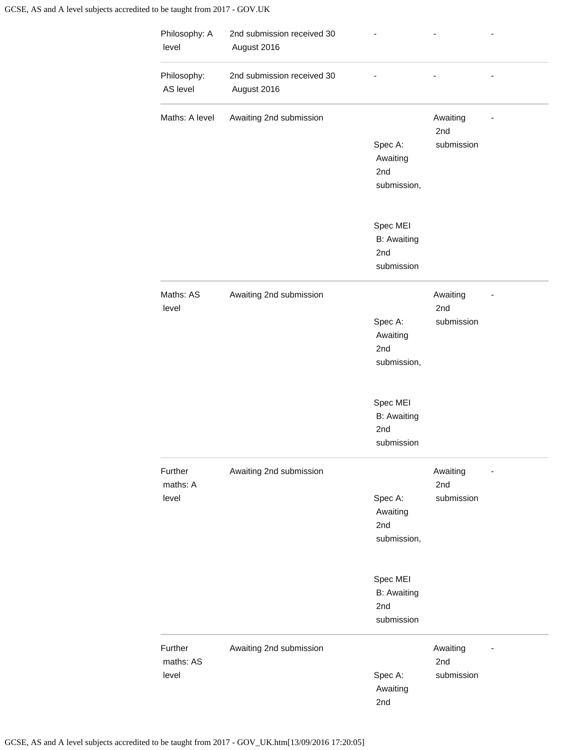| Philosophy: A<br>level        | 2nd submission received 30<br>August 2016 |                                                     |                               |  |
|-------------------------------|-------------------------------------------|-----------------------------------------------------|-------------------------------|--|
| Philosophy:<br>AS level       | 2nd submission received 30<br>August 2016 |                                                     |                               |  |
| Maths: A level                | Awaiting 2nd submission                   |                                                     | Awaiting<br>2nd               |  |
|                               |                                           | Spec A:<br>Awaiting<br>2nd<br>submission,           | submission                    |  |
|                               |                                           | Spec MEI<br><b>B:</b> Awaiting<br>2nd<br>submission |                               |  |
| Maths: AS<br>level            | Awaiting 2nd submission                   |                                                     | Awaiting<br>2nd               |  |
|                               |                                           | Spec A:<br>Awaiting<br>2nd<br>submission,           | submission                    |  |
|                               |                                           | Spec MEI<br><b>B:</b> Awaiting<br>2nd<br>submission |                               |  |
| Further<br>maths: A           | Awaiting 2nd submission                   |                                                     | Awaiting<br>2nd               |  |
| level                         |                                           | Spec A:<br>Awaiting<br>2nd<br>submission,           | submission                    |  |
|                               |                                           | Spec MEI<br><b>B: Awaiting</b><br>2nd<br>submission |                               |  |
| Further<br>maths: AS<br>level | Awaiting 2nd submission                   | Spec A:<br>Awaiting<br>2nd                          | Awaiting<br>2nd<br>submission |  |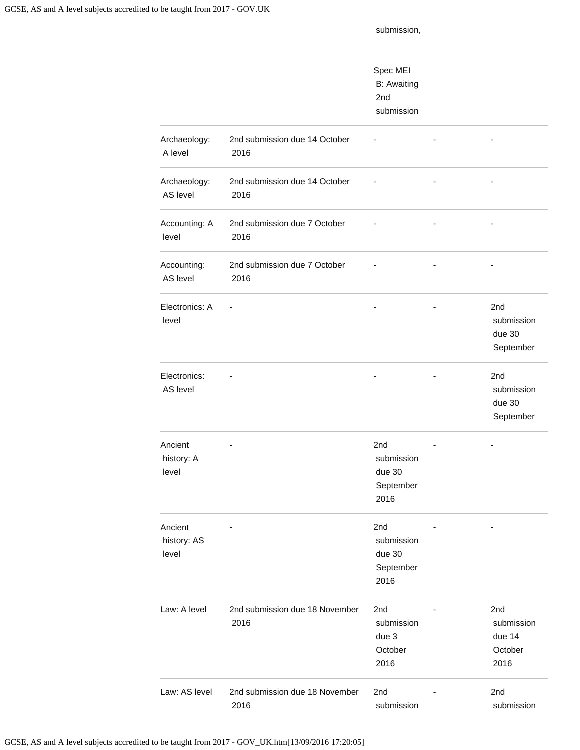submission,

|                                 |                                        | Spec MEI<br><b>B:</b> Awaiting<br>2nd<br>submission          |                |                                                      |
|---------------------------------|----------------------------------------|--------------------------------------------------------------|----------------|------------------------------------------------------|
| Archaeology:<br>A level         | 2nd submission due 14 October<br>2016  |                                                              |                |                                                      |
| Archaeology:<br>AS level        | 2nd submission due 14 October<br>2016  |                                                              | $\overline{a}$ |                                                      |
| Accounting: A<br>level          | 2nd submission due 7 October<br>2016   |                                                              |                |                                                      |
| Accounting:<br>AS level         | 2nd submission due 7 October<br>2016   |                                                              |                |                                                      |
| Electronics: A<br>level         | ÷,                                     |                                                              |                | 2 <sub>nd</sub><br>submission<br>due 30<br>September |
| Electronics:<br>AS level        |                                        |                                                              |                | 2 <sub>nd</sub><br>submission<br>due 30<br>September |
| Ancient<br>history: A<br>level  |                                        | 2 <sub>nd</sub><br>submission<br>due 30<br>September<br>2016 |                |                                                      |
| Ancient<br>history: AS<br>level |                                        | 2nd<br>submission<br>due 30<br>September<br>2016             |                |                                                      |
| Law: A level                    | 2nd submission due 18 November<br>2016 | 2nd<br>submission<br>due 3<br>October<br>2016                |                | 2nd<br>submission<br>due 14<br>October<br>2016       |
| Law: AS level                   | 2nd submission due 18 November<br>2016 | 2nd<br>submission                                            |                | 2nd<br>submission                                    |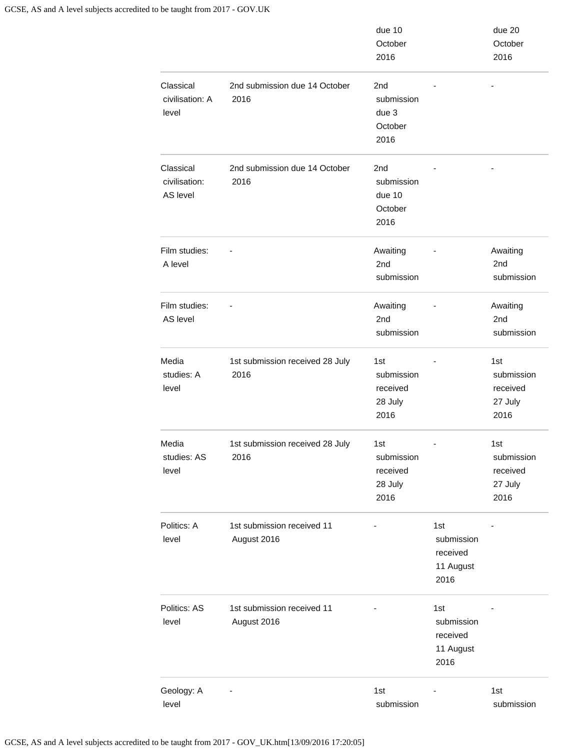|                                        |                                           | due 10<br>October<br>2016                        |                                                    | due 20<br>October<br>2016                        |
|----------------------------------------|-------------------------------------------|--------------------------------------------------|----------------------------------------------------|--------------------------------------------------|
| Classical<br>civilisation: A<br>level  | 2nd submission due 14 October<br>2016     | 2nd<br>submission<br>due 3<br>October<br>2016    |                                                    |                                                  |
| Classical<br>civilisation:<br>AS level | 2nd submission due 14 October<br>2016     | 2nd<br>submission<br>due 10<br>October<br>2016   |                                                    |                                                  |
| Film studies:<br>A level               |                                           | Awaiting<br>2 <sub>nd</sub><br>submission        |                                                    | Awaiting<br>2 <sub>nd</sub><br>submission        |
| Film studies:<br>AS level              |                                           | Awaiting<br>2 <sub>nd</sub><br>submission        |                                                    | Awaiting<br>2 <sub>nd</sub><br>submission        |
| Media<br>studies: A<br>level           | 1st submission received 28 July<br>2016   | 1st<br>submission<br>received<br>28 July<br>2016 |                                                    | 1st<br>submission<br>received<br>27 July<br>2016 |
| Media<br>studies: AS<br>level          | 1st submission received 28 July<br>2016   | 1st<br>submission<br>received<br>28 July<br>2016 |                                                    | 1st<br>submission<br>received<br>27 July<br>2016 |
| Politics: A<br>level                   | 1st submission received 11<br>August 2016 |                                                  | 1st<br>submission<br>received<br>11 August<br>2016 |                                                  |
| Politics: AS<br>level                  | 1st submission received 11<br>August 2016 |                                                  | 1st<br>submission<br>received<br>11 August<br>2016 |                                                  |
| Geology: A<br>level                    |                                           | 1st<br>submission                                |                                                    | 1st<br>submission                                |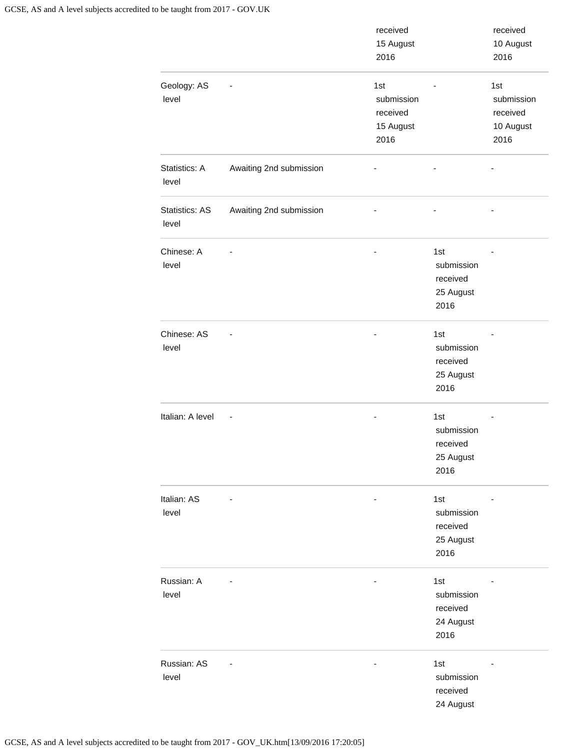|                                |                         | received<br>15 August<br>2016                      |                                                    | received<br>10 August<br>2016                      |
|--------------------------------|-------------------------|----------------------------------------------------|----------------------------------------------------|----------------------------------------------------|
| Geology: AS<br>level           |                         | 1st<br>submission<br>received<br>15 August<br>2016 |                                                    | 1st<br>submission<br>received<br>10 August<br>2016 |
| Statistics: A<br>level         | Awaiting 2nd submission |                                                    |                                                    |                                                    |
| <b>Statistics: AS</b><br>level | Awaiting 2nd submission |                                                    |                                                    |                                                    |
| Chinese: A<br>level            |                         |                                                    | 1st<br>submission<br>received<br>25 August<br>2016 |                                                    |
| Chinese: AS<br>level           |                         |                                                    | 1st<br>submission<br>received<br>25 August<br>2016 |                                                    |
| Italian: A level               |                         |                                                    | 1st<br>submission<br>received<br>25 August<br>2016 |                                                    |
| Italian: AS<br>level           |                         |                                                    | 1st<br>submission<br>received<br>25 August<br>2016 |                                                    |
| Russian: A<br>level            |                         |                                                    | 1st<br>submission<br>received<br>24 August<br>2016 |                                                    |
| Russian: AS<br>level           |                         |                                                    | 1st<br>submission<br>received<br>24 August         |                                                    |